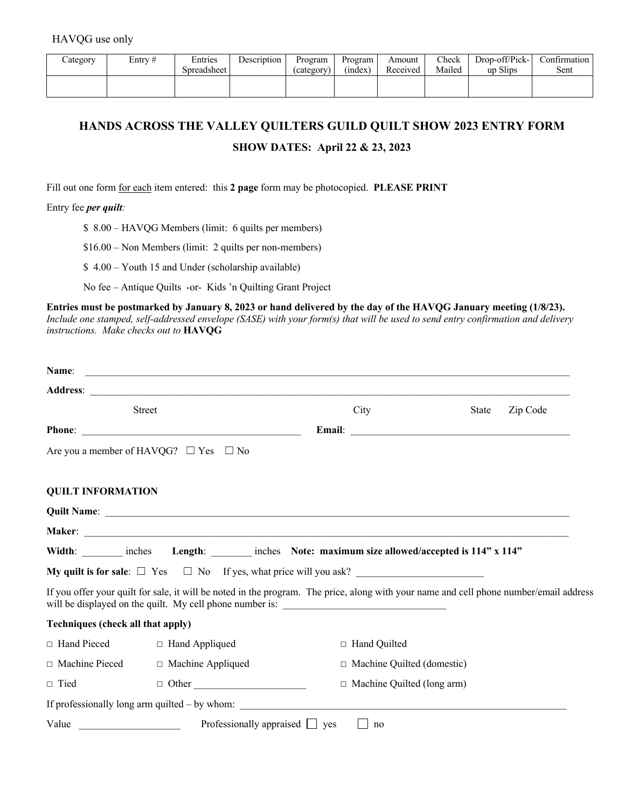| ategory | Entrv # | Entries     | Description | Program    | Program | Amount   | Check  | Drop-off/Pick- | Confirmation |
|---------|---------|-------------|-------------|------------|---------|----------|--------|----------------|--------------|
|         |         | Spreadsheet |             | (category) | (index) | Received | Mailed | up Slips       | Sent         |
|         |         |             |             |            |         |          |        |                |              |
|         |         |             |             |            |         |          |        |                |              |

## **HANDS ACROSS THE VALLEY QUILTERS GUILD QUILT SHOW 2023 ENTRY FORM**

## **SHOW DATES: April 22 & 23, 2023**

Fill out one form for each item entered: this **2 page** form may be photocopied. **PLEASE PRINT**

Entry fee *per quilt:*

\$ 8.00 – HAVQG Members (limit: 6 quilts per members)

\$16.00 – Non Members (limit: 2 quilts per non-members)

\$ 4.00 – Youth 15 and Under (scholarship available)

No fee – Antique Quilts -or- Kids 'n Quilting Grant Project

**Entries must be postmarked by January 8, 2023 or hand delivered by the day of the HAVQG January meeting (1/8/23).** *Include one stamped, self-addressed envelope (SASE) with your form(s) that will be used to send entry confirmation and delivery instructions. Make checks out to* **HAVQG**

|                                   | <b>Street</b>                                                                                                                                                                                                                       | City                 | State                        | Zip Code |  |  |  |
|-----------------------------------|-------------------------------------------------------------------------------------------------------------------------------------------------------------------------------------------------------------------------------------|----------------------|------------------------------|----------|--|--|--|
|                                   |                                                                                                                                                                                                                                     | Email: <u>Email:</u> |                              |          |  |  |  |
|                                   | Are you a member of HAVQG? $\Box$ Yes $\Box$ No                                                                                                                                                                                     |                      |                              |          |  |  |  |
| <b>QUILT INFORMATION</b>          |                                                                                                                                                                                                                                     |                      |                              |          |  |  |  |
|                                   | Quilt Name: <u>Quilt Name:</u> Contract Contract Contract Contract Contract Contract Contract Contract Contract Contract Contract Contract Contract Contract Contract Contract Contract Contract Contract Contract Contract Contrac |                      |                              |          |  |  |  |
|                                   |                                                                                                                                                                                                                                     |                      |                              |          |  |  |  |
|                                   | Width: _______ inches Length: ______ inches Note: maximum size allowed/accepted is 114" x 114"                                                                                                                                      |                      |                              |          |  |  |  |
|                                   | My quilt is for sale: $\square$ Yes $\square$ No If yes, what price will you ask?                                                                                                                                                   |                      |                              |          |  |  |  |
|                                   | If you offer your quilt for sale, it will be noted in the program. The price, along with your name and cell phone number/email address<br>will be displayed on the quilt. My cell phone number is: ________________________         |                      |                              |          |  |  |  |
| Techniques (check all that apply) |                                                                                                                                                                                                                                     |                      |                              |          |  |  |  |
| $\Box$ Hand Pieced                | $\Box$ Hand Appliqued                                                                                                                                                                                                               | □ Hand Quilted       |                              |          |  |  |  |
| □ Machine Pieced                  | □ Machine Appliqued                                                                                                                                                                                                                 |                      | □ Machine Quilted (domestic) |          |  |  |  |
| $\Box$ Tied                       | $\Box$ Other                                                                                                                                                                                                                        |                      | □ Machine Quilted (long arm) |          |  |  |  |
|                                   |                                                                                                                                                                                                                                     |                      |                              |          |  |  |  |
| Value                             | $\overline{\phantom{a}}$ Professionally appraised $\overline{\phantom{a}}$ yes                                                                                                                                                      | no                   |                              |          |  |  |  |